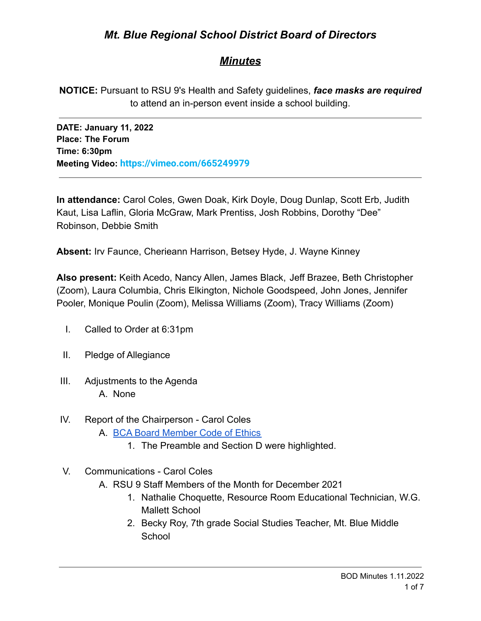# *Mt. Blue Regional School District Board of Directors*

# *Minutes*

**NOTICE:** Pursuant to RSU 9's Health and Safety guidelines, *face masks are required* to attend an in-person event inside a school building.

**DATE: January 11, 2022 Place: The Forum Time: 6:30pm Meeting Video: <https://vimeo.com/665249979>**

**In attendance:** Carol Coles, Gwen Doak, Kirk Doyle, Doug Dunlap, Scott Erb, Judith Kaut, Lisa Laflin, Gloria McGraw, Mark Prentiss, Josh Robbins, Dorothy "Dee" Robinson, Debbie Smith

**Absent:** Irv Faunce, Cherieann Harrison, Betsey Hyde, J. Wayne Kinney

**Also present:** Keith Acedo, Nancy Allen, James Black, Jeff Brazee, Beth Christopher (Zoom), Laura Columbia, Chris Elkington, Nichole Goodspeed, John Jones, Jennifer Pooler, Monique Poulin (Zoom), Melissa Williams (Zoom), Tracy Williams (Zoom)

- I. Called to Order at 6:31pm
- II. Pledge of Allegiance
- III. Adjustments to the Agenda A. None
- IV. Report of the Chairperson Carol Coles
	- A. [BCA Board Member Code of Ethics](https://cdn.branchcms.com/yeQ4XpK43n-1155/docs/district/board-of-directors/policy-manual/section-b/BCA-Board-Member-Code-of-Ethics.pdf)
		- 1. The Preamble and Section D were highlighted.
- V. Communications Carol Coles
	- A. RSU 9 Staff Members of the Month for December 2021
		- 1. Nathalie Choquette, Resource Room Educational Technician, W.G. Mallett School
		- 2. Becky Roy, 7th grade Social Studies Teacher, Mt. Blue Middle **School**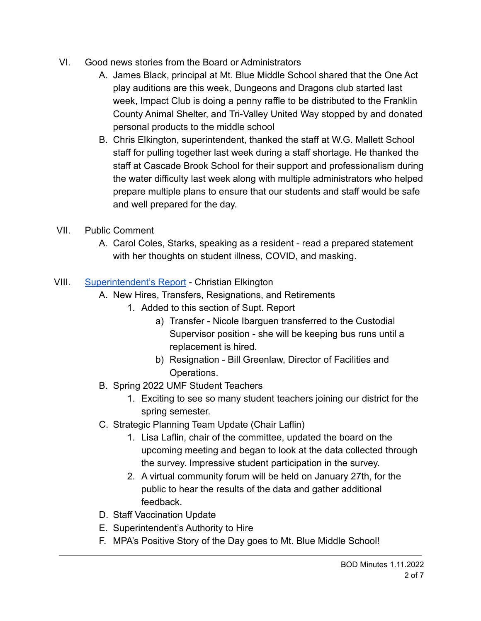- VI. Good news stories from the Board or Administrators
	- A. James Black, principal at Mt. Blue Middle School shared that the One Act play auditions are this week, Dungeons and Dragons club started last week, Impact Club is doing a penny raffle to be distributed to the Franklin County Animal Shelter, and Tri-Valley United Way stopped by and donated personal products to the middle school
	- B. Chris Elkington, superintendent, thanked the staff at W.G. Mallett School staff for pulling together last week during a staff shortage. He thanked the staff at Cascade Brook School for their support and professionalism during the water difficulty last week along with multiple administrators who helped prepare multiple plans to ensure that our students and staff would be safe and well prepared for the day.
- VII. Public Comment
	- A. Carol Coles, Starks, speaking as a resident read a prepared statement with her thoughts on student illness, COVID, and masking.

# VIII. [Superintendent's Report](https://drive.google.com/file/d/1eKX6l3riSEs9zntGUWqChCFwzq8LVsfI/view?usp=sharing) - Christian Elkington

- A. New Hires, Transfers, Resignations, and Retirements
	- 1. Added to this section of Supt. Report
		- a) Transfer Nicole Ibarguen transferred to the Custodial Supervisor position - she will be keeping bus runs until a replacement is hired.
		- b) Resignation Bill Greenlaw, Director of Facilities and Operations.
- B. Spring 2022 UMF Student Teachers
	- 1. Exciting to see so many student teachers joining our district for the spring semester.
- C. Strategic Planning Team Update (Chair Laflin)
	- 1. Lisa Laflin, chair of the committee, updated the board on the upcoming meeting and began to look at the data collected through the survey. Impressive student participation in the survey.
	- 2. A virtual community forum will be held on January 27th, for the public to hear the results of the data and gather additional feedback.
- D. Staff Vaccination Update
- E. Superintendent's Authority to Hire
- F. MPA's Positive Story of the Day goes to Mt. Blue Middle School!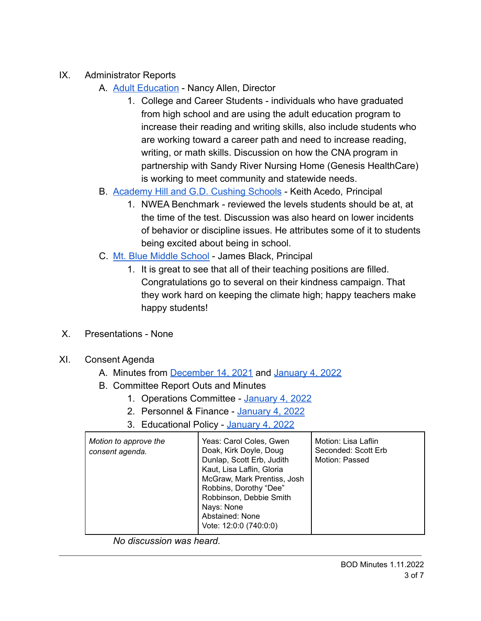- IX. Administrator Reports
	- A. [Adult Education](https://drive.google.com/file/d/1oBIUU1tETRowERCA2CCqV6ff6Aombne2/view?usp=sharing) Nancy Allen, Director
		- 1. College and Career Students individuals who have graduated from high school and are using the adult education program to increase their reading and writing skills, also include students who are working toward a career path and need to increase reading, writing, or math skills. Discussion on how the CNA program in partnership with Sandy River Nursing Home (Genesis HealthCare) is working to meet community and statewide needs.
	- B. [Academy Hill and G.D. Cushing Schools](https://drive.google.com/file/d/1TgOtwq94DfRFfhX3HB99XfUBuCmdknPo/view?usp=sharing) Keith Acedo, Principal
		- 1. NWEA Benchmark reviewed the levels students should be at, at the time of the test. Discussion was also heard on lower incidents of behavior or discipline issues. He attributes some of it to students being excited about being in school.
	- C. [Mt. Blue Middle School](https://drive.google.com/file/d/1lmrbyKT4n63RfuhbGJIhoECpNQ_lLvFz/view?usp=sharing) James Black, Principal
		- 1. It is great to see that all of their teaching positions are filled. Congratulations go to several on their kindness campaign. That they work hard on keeping the climate high; happy teachers make happy students!
- X. Presentations None
- XI. Consent Agenda
	- A. Minutes from [December 14, 2021](https://drive.google.com/file/d/1puh8BEkHKz-BH4XsA4Wefy-2lMLJXFjB/view?usp=sharing) and [January 4, 2022](https://drive.google.com/file/d/1NtjGgJQteo8DPcpfzbDHmNM8ovp7kzvX/view?usp=sharing)
	- B. Committee Report Outs and Minutes
		- 1. Operations Committee [January 4, 2022](https://drive.google.com/file/d/1sJyZn7rnhvRM0vWqRZY0EpjjTP5AIWB4/view?usp=sharing)
		- 2. Personnel & Finance [January 4, 2022](https://drive.google.com/file/d/1CCbBpw8JYN6yl5MJmJzad9NLVbemKXoR/view?usp=sharing)
		- 3. Educational Policy [January 4, 2022](https://drive.google.com/file/d/1qeUU9ofKfjUH9iwoPo4qoy1BgiV6aFmD/view?usp=sharing)

| Motion to approve the<br>consent agenda. | Yeas: Carol Coles, Gwen<br>Doak, Kirk Doyle, Doug<br>Dunlap, Scott Erb, Judith<br>Kaut, Lisa Laflin, Gloria<br>McGraw, Mark Prentiss, Josh<br>Robbins, Dorothy "Dee"<br>Robbinson, Debbie Smith<br>Nays: None<br>Abstained: None<br>Vote: 12:0:0 (740:0:0) | Motion: Lisa Laflin<br>Seconded: Scott Erb<br>Motion: Passed |
|------------------------------------------|------------------------------------------------------------------------------------------------------------------------------------------------------------------------------------------------------------------------------------------------------------|--------------------------------------------------------------|
|                                          |                                                                                                                                                                                                                                                            |                                                              |

*No discussion was heard.*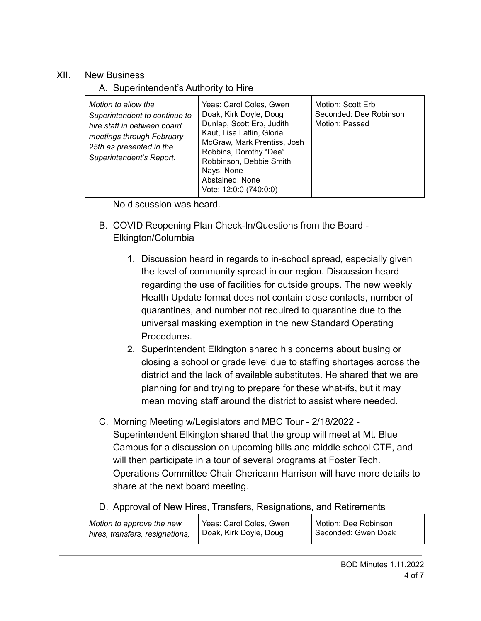## XII. New Business

# A. Superintendent's Authority to Hire

| Motion to allow the<br>Superintendent to continue to<br>hire staff in between board<br>meetings through February<br>25th as presented in the<br>Superintendent's Report. | Yeas: Carol Coles, Gwen<br>Doak, Kirk Doyle, Doug<br>Dunlap, Scott Erb, Judith<br>Kaut, Lisa Laflin, Gloria<br>McGraw, Mark Prentiss, Josh<br>Robbins, Dorothy "Dee"<br>Robbinson, Debbie Smith<br>Nays: None<br>Abstained: None<br>Vote: 12:0:0 (740:0:0) | Motion: Scott Erb<br>Seconded: Dee Robinson<br>Motion: Passed |
|--------------------------------------------------------------------------------------------------------------------------------------------------------------------------|------------------------------------------------------------------------------------------------------------------------------------------------------------------------------------------------------------------------------------------------------------|---------------------------------------------------------------|
|--------------------------------------------------------------------------------------------------------------------------------------------------------------------------|------------------------------------------------------------------------------------------------------------------------------------------------------------------------------------------------------------------------------------------------------------|---------------------------------------------------------------|

No discussion was heard.

- B. COVID Reopening Plan Check-In/Questions from the Board Elkington/Columbia
	- 1. Discussion heard in regards to in-school spread, especially given the level of community spread in our region. Discussion heard regarding the use of facilities for outside groups. The new weekly Health Update format does not contain close contacts, number of quarantines, and number not required to quarantine due to the universal masking exemption in the new Standard Operating Procedures.
	- 2. Superintendent Elkington shared his concerns about busing or closing a school or grade level due to staffing shortages across the district and the lack of available substitutes. He shared that we are planning for and trying to prepare for these what-ifs, but it may mean moving staff around the district to assist where needed.
- C. Morning Meeting w/Legislators and MBC Tour 2/18/2022 Superintendent Elkington shared that the group will meet at Mt. Blue Campus for a discussion on upcoming bills and middle school CTE, and will then participate in a tour of several programs at Foster Tech. Operations Committee Chair Cherieann Harrison will have more details to share at the next board meeting.
- D. Approval of New Hires, Transfers, Resignations, and Retirements

| Motion to approve the new       | Yeas: Carol Coles, Gwen | Motion: Dee Robinson |
|---------------------------------|-------------------------|----------------------|
| hires, transfers, resignations, | Doak, Kirk Doyle, Doug  | Seconded: Gwen Doak  |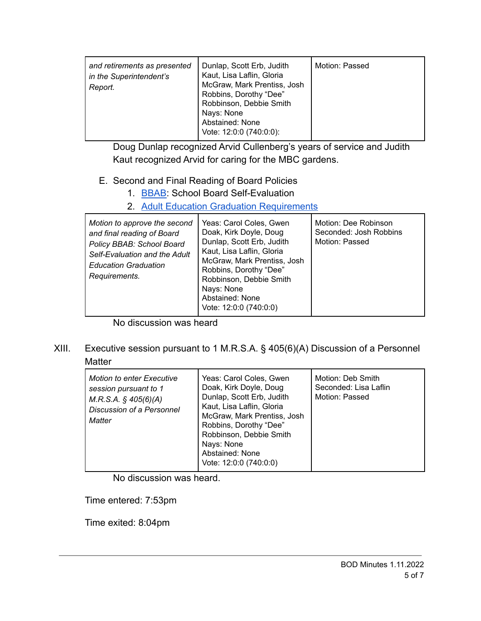| and retirements as presented<br>in the Superintendent's<br>Report. | Dunlap, Scott Erb, Judith<br>Kaut, Lisa Laflin, Gloria<br>McGraw, Mark Prentiss, Josh<br>Robbins, Dorothy "Dee"<br>Robbinson, Debbie Smith<br>Nays: None<br>Abstained: None<br>Vote: 12:0:0 (740:0:0): | Motion: Passed |
|--------------------------------------------------------------------|--------------------------------------------------------------------------------------------------------------------------------------------------------------------------------------------------------|----------------|
|--------------------------------------------------------------------|--------------------------------------------------------------------------------------------------------------------------------------------------------------------------------------------------------|----------------|

Doug Dunlap recognized Arvid Cullenberg's years of service and Judith Kaut recognized Arvid for caring for the MBC gardens.

## E. Second and Final Reading of Board Policies

- 1. [BBAB](https://drive.google.com/file/d/1EZdMpgcETHu45SyMsk95vI9hiNYI6TG1/view?usp=sharing): School Board Self-Evaluation
- 2. [Adult Education Graduation Requirements](https://drive.google.com/file/d/1FbE7BcgP5u043uLCjAMXcHhJ-gI8S9Jm/view?usp=sharing)

| Motion to approve the second<br>and final reading of Board<br>Policy BBAB: School Board<br>Self-Evaluation and the Adult<br><b>Education Graduation</b><br>Requirements. | Yeas: Carol Coles, Gwen<br>Doak, Kirk Doyle, Doug<br>Dunlap, Scott Erb, Judith<br>Kaut, Lisa Laflin, Gloria<br>McGraw, Mark Prentiss, Josh<br>Robbins, Dorothy "Dee"<br>Robbinson, Debbie Smith<br>Nays: None<br>Abstained: None<br>Vote: 12:0:0 (740:0:0) | Motion: Dee Robinson<br>Seconded: Josh Robbins<br>Motion: Passed |
|--------------------------------------------------------------------------------------------------------------------------------------------------------------------------|------------------------------------------------------------------------------------------------------------------------------------------------------------------------------------------------------------------------------------------------------------|------------------------------------------------------------------|
|--------------------------------------------------------------------------------------------------------------------------------------------------------------------------|------------------------------------------------------------------------------------------------------------------------------------------------------------------------------------------------------------------------------------------------------------|------------------------------------------------------------------|

No discussion was heard

XIII. Executive session pursuant to 1 M.R.S.A. § 405(6)(A) Discussion of a Personnel **Matter** 

| <b>Motion to enter Executive</b><br>session pursuant to 1<br>$M.R.S.A.$ § 405(6)(A)<br>Discussion of a Personnel<br>Matter | Yeas: Carol Coles, Gwen<br>Doak, Kirk Doyle, Doug<br>Dunlap, Scott Erb, Judith<br>Kaut, Lisa Laflin, Gloria<br>McGraw, Mark Prentiss, Josh<br>Robbins, Dorothy "Dee"<br>Robbinson, Debbie Smith<br>Nays: None<br>Abstained: None<br>Vote: 12:0:0 (740:0:0) | Motion: Deb Smith<br>Seconded: Lisa Laflin<br>Motion: Passed |
|----------------------------------------------------------------------------------------------------------------------------|------------------------------------------------------------------------------------------------------------------------------------------------------------------------------------------------------------------------------------------------------------|--------------------------------------------------------------|
|----------------------------------------------------------------------------------------------------------------------------|------------------------------------------------------------------------------------------------------------------------------------------------------------------------------------------------------------------------------------------------------------|--------------------------------------------------------------|

No discussion was heard.

Time entered: 7:53pm

Time exited: 8:04pm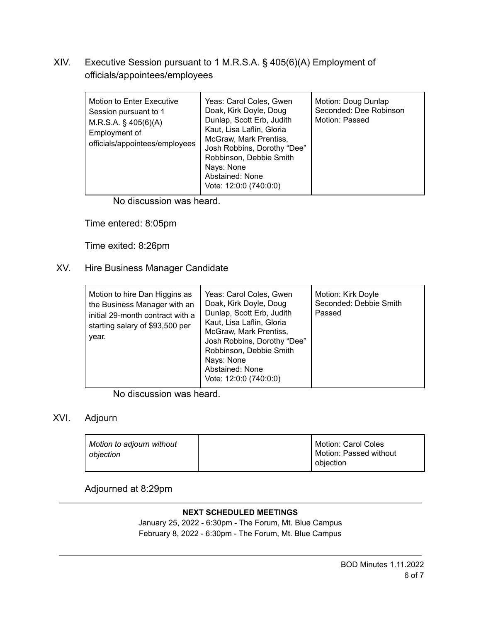# XIV. Executive Session pursuant to 1 M.R.S.A. § 405(6)(A) Employment of officials/appointees/employees

No discussion was heard.

Time entered: 8:05pm

Time exited: 8:26pm

### XV. Hire Business Manager Candidate

| Motion to hire Dan Higgins as<br>the Business Manager with an<br>initial 29-month contract with a<br>starting salary of \$93,500 per<br>year. | Yeas: Carol Coles, Gwen<br>Doak, Kirk Doyle, Doug<br>Dunlap, Scott Erb, Judith<br>Kaut, Lisa Laflin, Gloria<br>McGraw, Mark Prentiss,<br>Josh Robbins, Dorothy "Dee"<br>Robbinson, Debbie Smith<br>Nays: None<br>Abstained: None<br>Vote: 12:0:0 (740:0:0) | Motion: Kirk Doyle<br>Seconded: Debbie Smith<br>Passed |
|-----------------------------------------------------------------------------------------------------------------------------------------------|------------------------------------------------------------------------------------------------------------------------------------------------------------------------------------------------------------------------------------------------------------|--------------------------------------------------------|
|-----------------------------------------------------------------------------------------------------------------------------------------------|------------------------------------------------------------------------------------------------------------------------------------------------------------------------------------------------------------------------------------------------------------|--------------------------------------------------------|

No discussion was heard.

#### XVI. Adjourn

| Motion to adjourn without<br>obiection | Motion: Carol Coles<br>Motion: Passed without |
|----------------------------------------|-----------------------------------------------|
|                                        | obiection                                     |

## Adjourned at 8:29pm

#### **NEXT SCHEDULED MEETINGS**

January 25, 2022 - 6:30pm - The Forum, Mt. Blue Campus February 8, 2022 - 6:30pm - The Forum, Mt. Blue Campus